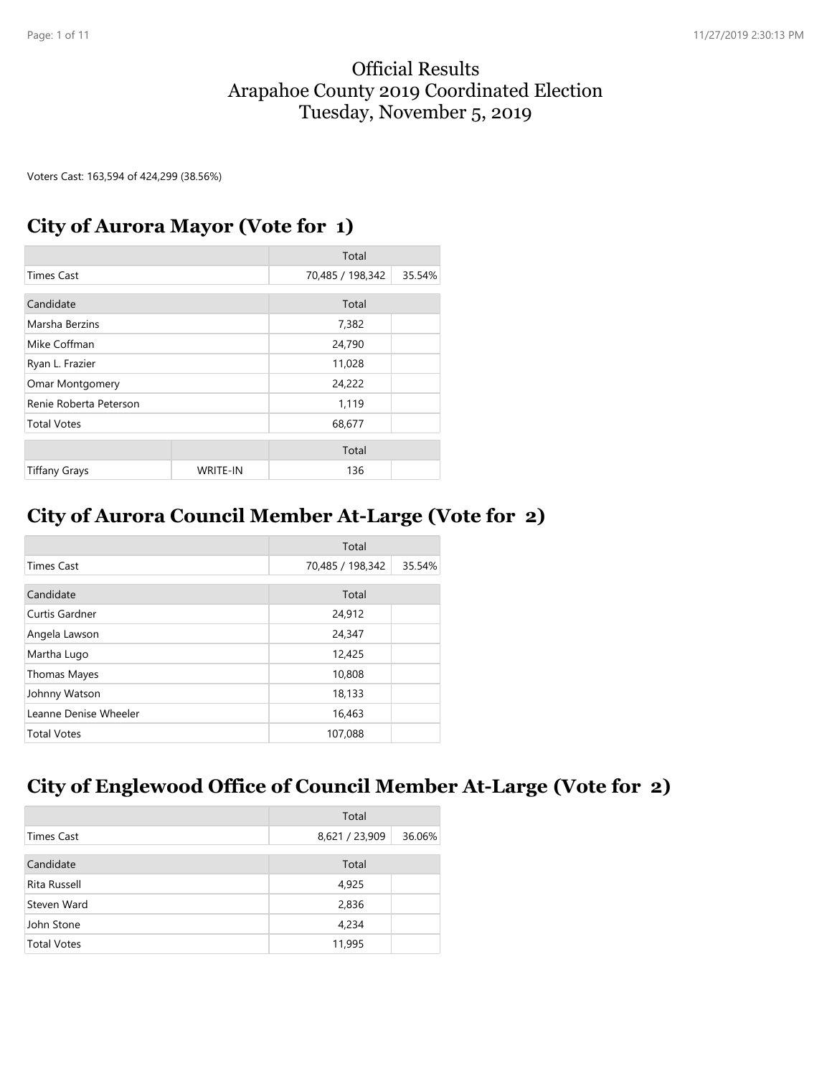#### Official Results Arapahoe County 2019 Coordinated Election Tuesday, November 5, 2019

Voters Cast: 163,594 of 424,299 (38.56%)

#### **City of Aurora Mayor (Vote for 1)**

|                        |                 | Total            |        |
|------------------------|-----------------|------------------|--------|
| <b>Times Cast</b>      |                 | 70,485 / 198,342 | 35.54% |
| Candidate              |                 |                  |        |
|                        |                 | Total            |        |
| Marsha Berzins         |                 | 7,382            |        |
| Mike Coffman           |                 | 24,790           |        |
| Ryan L. Frazier        |                 | 11,028           |        |
| Omar Montgomery        |                 | 24,222           |        |
| Renie Roberta Peterson |                 | 1,119            |        |
| <b>Total Votes</b>     |                 | 68,677           |        |
|                        |                 |                  |        |
|                        |                 | Total            |        |
| <b>Tiffany Grays</b>   | <b>WRITE-IN</b> | 136              |        |

### **City of Aurora Council Member At-Large (Vote for 2)**

|                       | Total            |        |
|-----------------------|------------------|--------|
| <b>Times Cast</b>     | 70,485 / 198,342 | 35.54% |
| Candidate             | Total            |        |
| Curtis Gardner        | 24,912           |        |
| Angela Lawson         | 24,347           |        |
| Martha Lugo           | 12,425           |        |
| Thomas Mayes          | 10,808           |        |
| Johnny Watson         | 18,133           |        |
| Leanne Denise Wheeler | 16,463           |        |
| <b>Total Votes</b>    | 107,088          |        |

### **City of Englewood Office of Council Member At-Large (Vote for 2)**

|                    | Total          |        |
|--------------------|----------------|--------|
| Times Cast         | 8,621 / 23,909 | 36.06% |
| Candidate          | Total          |        |
| Rita Russell       | 4,925          |        |
| Steven Ward        | 2,836          |        |
| John Stone         | 4,234          |        |
| <b>Total Votes</b> | 11,995         |        |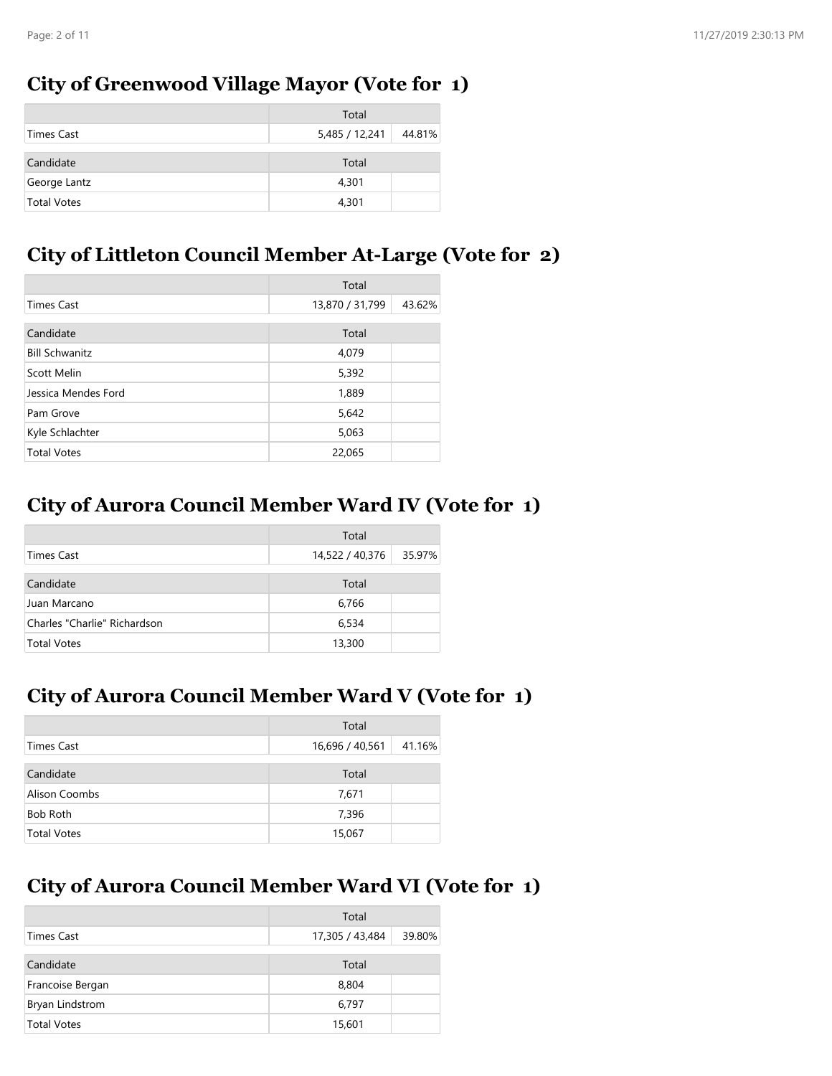#### **City of Greenwood Village Mayor (Vote for 1)**

|                    | Total          |        |
|--------------------|----------------|--------|
| Times Cast         | 5,485 / 12,241 | 44.81% |
| Candidate          | Total          |        |
| George Lantz       | 4,301          |        |
| <b>Total Votes</b> | 4,301          |        |

### **City of Littleton Council Member At-Large (Vote for 2)**

|                       | Total           |        |
|-----------------------|-----------------|--------|
| Times Cast            | 13,870 / 31,799 | 43.62% |
| Candidate             | Total           |        |
| <b>Bill Schwanitz</b> | 4,079           |        |
| Scott Melin           | 5,392           |        |
| Jessica Mendes Ford   | 1,889           |        |
| Pam Grove             | 5,642           |        |
| Kyle Schlachter       | 5,063           |        |
| <b>Total Votes</b>    | 22,065          |        |

# **City of Aurora Council Member Ward IV (Vote for 1)**

|                              | Total           |        |
|------------------------------|-----------------|--------|
| Times Cast                   | 14,522 / 40,376 | 35.97% |
| Candidate                    | Total           |        |
| Juan Marcano                 | 6,766           |        |
| Charles "Charlie" Richardson | 6,534           |        |
| <b>Total Votes</b>           | 13,300          |        |

### **City of Aurora Council Member Ward V (Vote for 1)**

|                    | Total           |        |
|--------------------|-----------------|--------|
| Times Cast         | 16,696 / 40,561 | 41.16% |
| Candidate          | Total           |        |
| Alison Coombs      | 7,671           |        |
| Bob Roth           | 7,396           |        |
| <b>Total Votes</b> | 15,067          |        |

# **City of Aurora Council Member Ward VI (Vote for 1)**

|                    | Total           |        |
|--------------------|-----------------|--------|
| Times Cast         | 17,305 / 43,484 | 39.80% |
| Candidate          | Total           |        |
| Francoise Bergan   | 8,804           |        |
| Bryan Lindstrom    | 6,797           |        |
| <b>Total Votes</b> | 15,601          |        |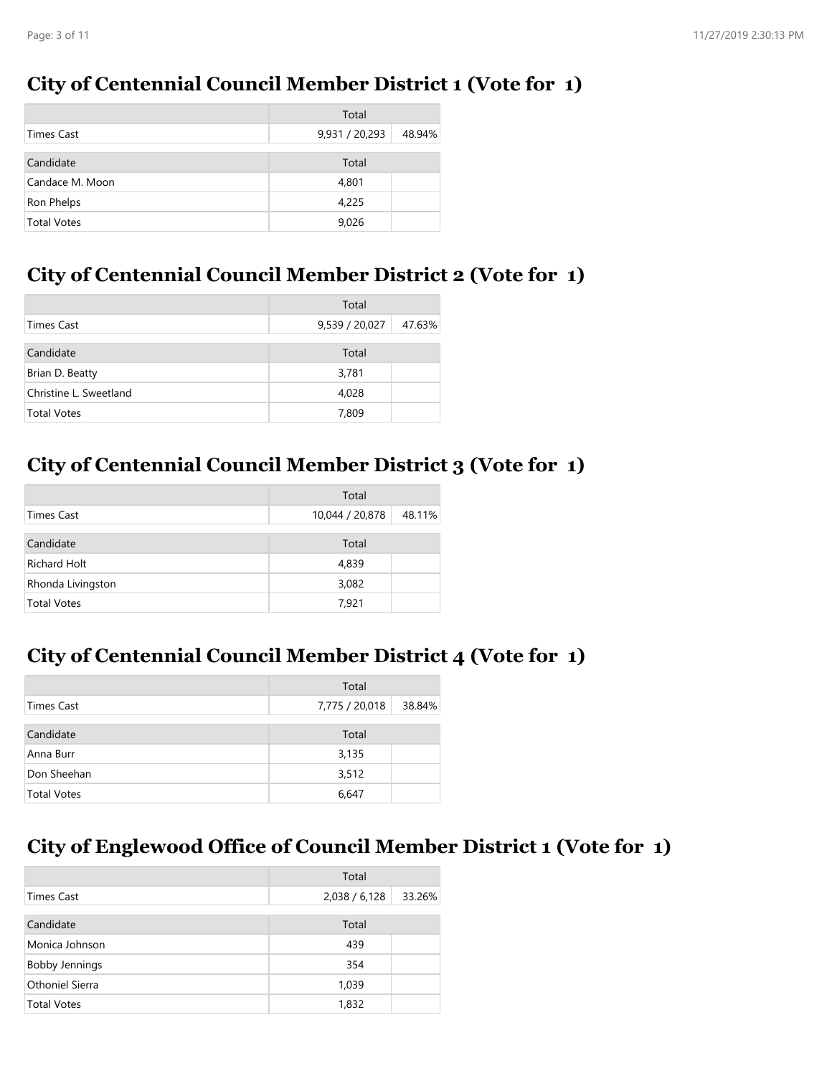### **City of Centennial Council Member District 1 (Vote for 1)**

|                    | Total          |        |
|--------------------|----------------|--------|
| <b>Times Cast</b>  | 9,931 / 20,293 | 48.94% |
|                    |                |        |
| Candidate          | Total          |        |
| Candace M. Moon    | 4,801          |        |
| Ron Phelps         | 4,225          |        |
| <b>Total Votes</b> | 9,026          |        |

### **City of Centennial Council Member District 2 (Vote for 1)**

|                        | Total          |        |
|------------------------|----------------|--------|
| Times Cast             | 9,539 / 20,027 | 47.63% |
| Candidate              | Total          |        |
| Brian D. Beatty        | 3,781          |        |
| Christine L. Sweetland | 4,028          |        |
| <b>Total Votes</b>     | 7,809          |        |

### **City of Centennial Council Member District 3 (Vote for 1)**

|                     | Total           |        |
|---------------------|-----------------|--------|
| Times Cast          | 10,044 / 20,878 | 48.11% |
| Candidate           | Total           |        |
| <b>Richard Holt</b> | 4,839           |        |
| Rhonda Livingston   | 3,082           |        |
| <b>Total Votes</b>  | 7,921           |        |

# **City of Centennial Council Member District 4 (Vote for 1)**

|                    | Total          |        |
|--------------------|----------------|--------|
| Times Cast         | 7,775 / 20,018 | 38.84% |
| Candidate          | Total          |        |
| Anna Burr          | 3,135          |        |
| Don Sheehan        | 3,512          |        |
| <b>Total Votes</b> | 6,647          |        |

### **City of Englewood Office of Council Member District 1 (Vote for 1)**

|                       | Total         |        |
|-----------------------|---------------|--------|
| <b>Times Cast</b>     | 2,038 / 6,128 | 33.26% |
| Candidate             | Total         |        |
| Monica Johnson        | 439           |        |
| <b>Bobby Jennings</b> | 354           |        |
| Othoniel Sierra       | 1,039         |        |
| <b>Total Votes</b>    | 1,832         |        |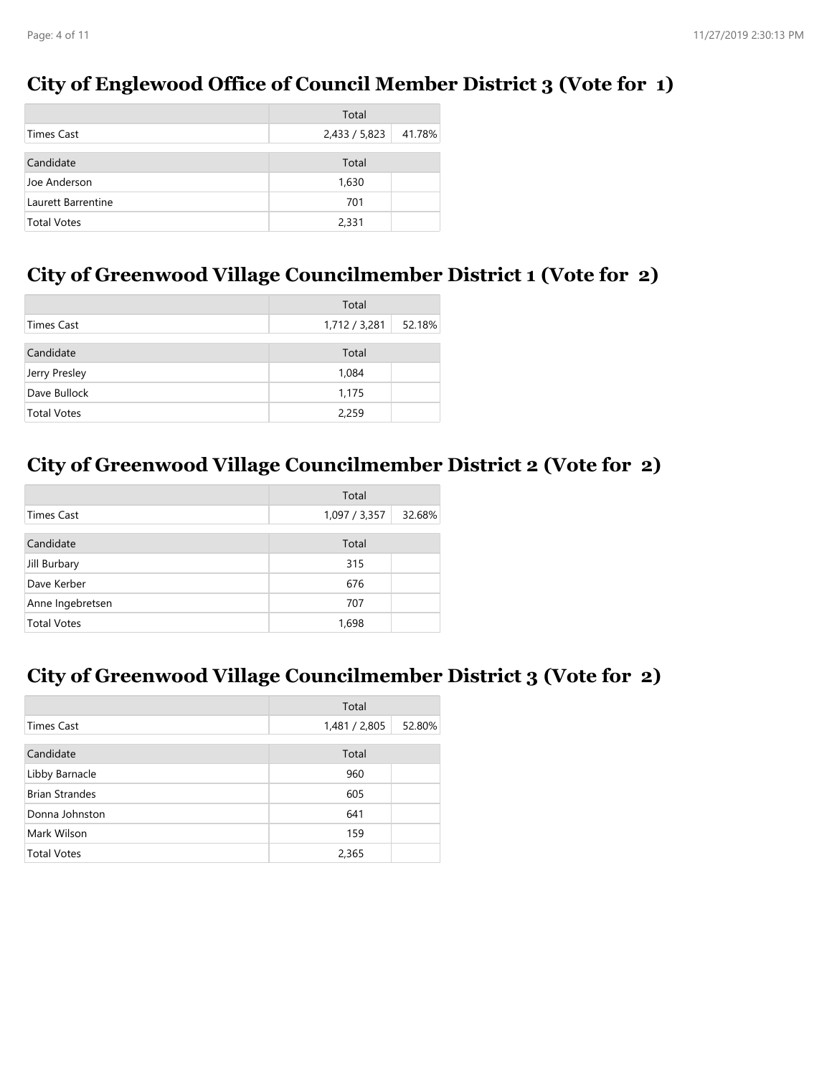### **City of Englewood Office of Council Member District 3 (Vote for 1)**

|                    | Total         |        |
|--------------------|---------------|--------|
| Times Cast         | 2,433 / 5,823 | 41.78% |
| Candidate          | Total         |        |
|                    |               |        |
| Joe Anderson       | 1,630         |        |
| Laurett Barrentine | 701           |        |
| <b>Total Votes</b> | 2,331         |        |

### **City of Greenwood Village Councilmember District 1 (Vote for 2)**

|                    | Total         |        |
|--------------------|---------------|--------|
| Times Cast         | 1,712 / 3,281 | 52.18% |
|                    |               |        |
| Candidate          | Total         |        |
| Jerry Presley      | 1,084         |        |
| Dave Bullock       | 1,175         |        |
| <b>Total Votes</b> | 2,259         |        |

### **City of Greenwood Village Councilmember District 2 (Vote for 2)**

|                    | Total         |        |
|--------------------|---------------|--------|
| <b>Times Cast</b>  | 1,097 / 3,357 | 32.68% |
| Candidate          | Total         |        |
| Jill Burbary       | 315           |        |
| Dave Kerber        | 676           |        |
| Anne Ingebretsen   | 707           |        |
| <b>Total Votes</b> | 1,698         |        |

# **City of Greenwood Village Councilmember District 3 (Vote for 2)**

|                       | Total         |        |
|-----------------------|---------------|--------|
| <b>Times Cast</b>     | 1,481 / 2,805 | 52.80% |
| Candidate             | Total         |        |
| Libby Barnacle        | 960           |        |
| <b>Brian Strandes</b> | 605           |        |
| Donna Johnston        | 641           |        |
| Mark Wilson           | 159           |        |
| <b>Total Votes</b>    | 2,365         |        |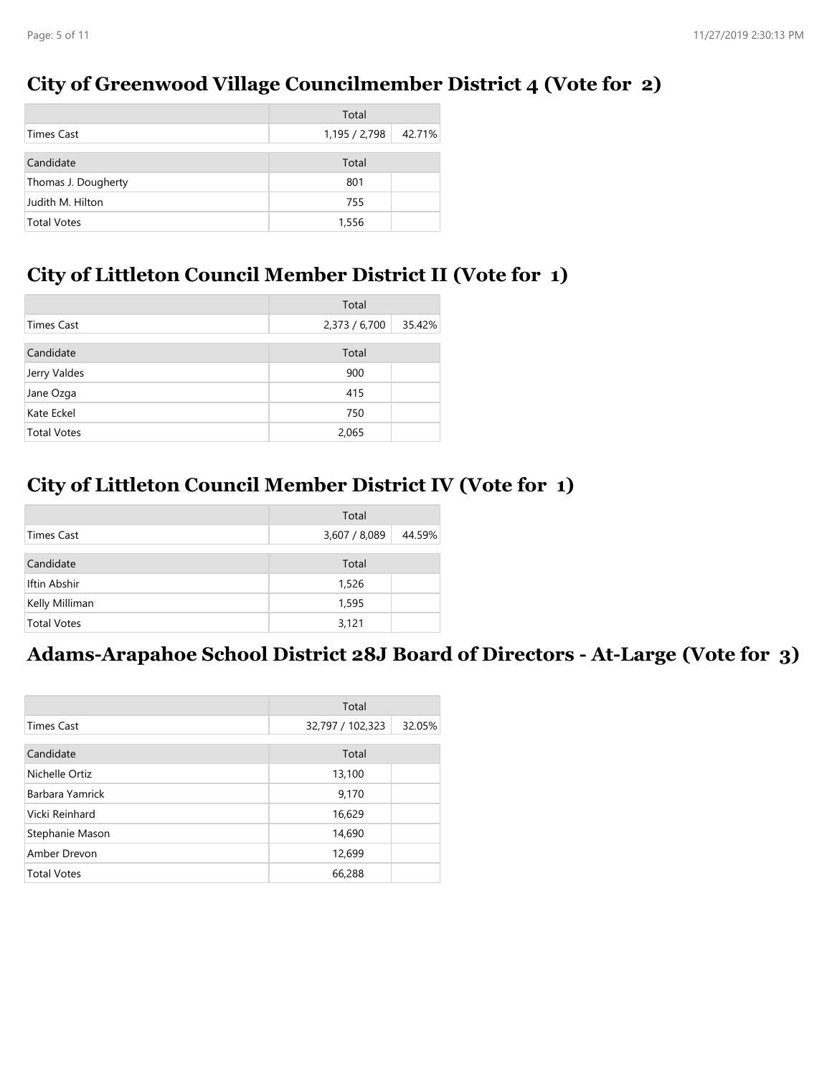### **City of Greenwood Village Councilmember District 4 (Vote for 2)**

|                     | Total         |        |
|---------------------|---------------|--------|
| Times Cast          | 1,195 / 2,798 | 42.71% |
| Candidate           | Total         |        |
| Thomas J. Dougherty | 801           |        |
| Judith M. Hilton    | 755           |        |
| <b>Total Votes</b>  | 1,556         |        |

### **City of Littleton Council Member District II (Vote for 1)**

|                    | Total         |        |
|--------------------|---------------|--------|
| Times Cast         | 2,373 / 6,700 | 35.42% |
| Candidate          | Total         |        |
| Jerry Valdes       | 900           |        |
| Jane Ozga          | 415           |        |
| Kate Eckel         | 750           |        |
| <b>Total Votes</b> | 2,065         |        |

### **City of Littleton Council Member District IV (Vote for 1)**

|                    | Total         |        |
|--------------------|---------------|--------|
| Times Cast         | 3,607 / 8,089 | 44.59% |
| Candidate          | Total         |        |
| Iftin Abshir       | 1,526         |        |
| Kelly Milliman     | 1,595         |        |
| <b>Total Votes</b> | 3,121         |        |

### **Adams-Arapahoe School District 28J Board of Directors - At-Large (Vote for 3)**

|                    | Total            |        |
|--------------------|------------------|--------|
| <b>Times Cast</b>  | 32,797 / 102,323 | 32.05% |
| Candidate          | Total            |        |
| Nichelle Ortiz     | 13,100           |        |
| Barbara Yamrick    | 9,170            |        |
| Vicki Reinhard     | 16,629           |        |
| Stephanie Mason    | 14,690           |        |
| Amber Drevon       | 12,699           |        |
| <b>Total Votes</b> | 66,288           |        |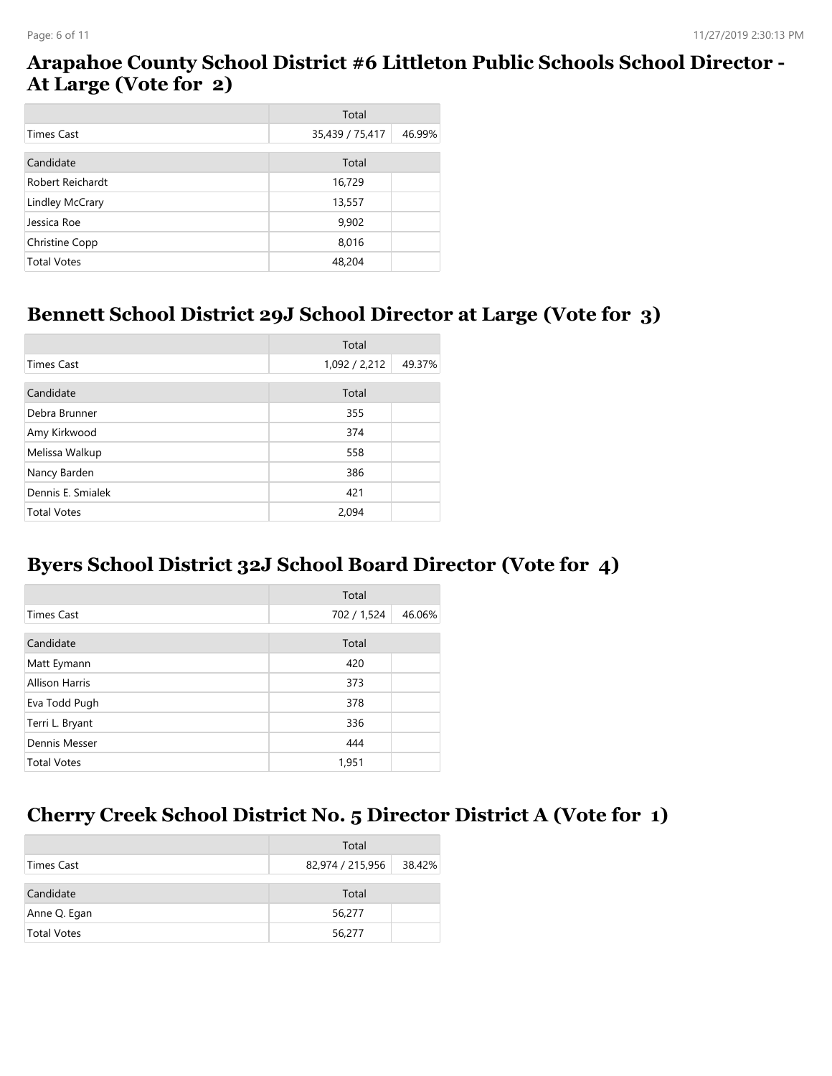### **Arapahoe County School District #6 Littleton Public Schools School Director - At Large (Vote for 2)**

|                    | Total           |        |
|--------------------|-----------------|--------|
| Times Cast         | 35,439 / 75,417 | 46.99% |
| Candidate          | Total           |        |
| Robert Reichardt   | 16,729          |        |
| Lindley McCrary    | 13,557          |        |
| Jessica Roe        | 9,902           |        |
| Christine Copp     | 8,016           |        |
| <b>Total Votes</b> | 48,204          |        |

#### **Bennett School District 29J School Director at Large (Vote for 3)**

|                    | Total         |        |
|--------------------|---------------|--------|
| <b>Times Cast</b>  | 1,092 / 2,212 | 49.37% |
| Candidate          | Total         |        |
| Debra Brunner      | 355           |        |
| Amy Kirkwood       | 374           |        |
| Melissa Walkup     | 558           |        |
| Nancy Barden       | 386           |        |
| Dennis E. Smialek  | 421           |        |
| <b>Total Votes</b> | 2.094         |        |

### **Byers School District 32J School Board Director (Vote for 4)**

|                       | Total       |        |
|-----------------------|-------------|--------|
| <b>Times Cast</b>     | 702 / 1,524 | 46.06% |
| Candidate             | Total       |        |
| Matt Eymann           | 420         |        |
| <b>Allison Harris</b> | 373         |        |
| Eva Todd Pugh         | 378         |        |
| Terri L. Bryant       | 336         |        |
| Dennis Messer         | 444         |        |
| <b>Total Votes</b>    | 1,951       |        |

#### **Cherry Creek School District No. 5 Director District A (Vote for 1)**

|                    | Total            |        |
|--------------------|------------------|--------|
| Times Cast         | 82,974 / 215,956 | 38.42% |
| Candidate          | Total            |        |
| Anne Q. Egan       | 56,277           |        |
| <b>Total Votes</b> | 56,277           |        |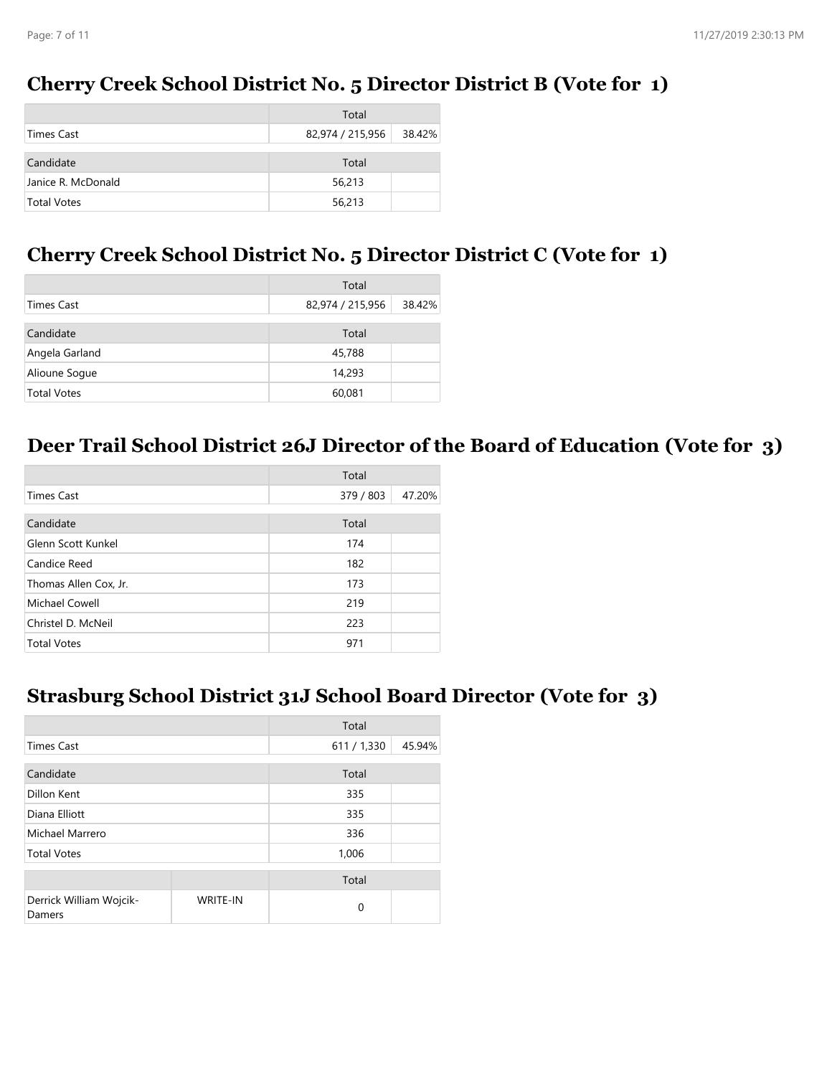### **Cherry Creek School District No. 5 Director District B (Vote for 1)**

|                    | Total            |        |
|--------------------|------------------|--------|
| Times Cast         | 82,974 / 215,956 | 38.42% |
| Candidate          | Total            |        |
| Janice R. McDonald | 56,213           |        |
| <b>Total Votes</b> | 56,213           |        |

#### **Cherry Creek School District No. 5 Director District C (Vote for 1)**

|                    | Total            |        |
|--------------------|------------------|--------|
| Times Cast         | 82,974 / 215,956 | 38.42% |
| Candidate          | Total            |        |
| Angela Garland     | 45,788           |        |
| Alioune Soque      | 14,293           |        |
| <b>Total Votes</b> | 60,081           |        |

# **Deer Trail School District 26J Director of the Board of Education (Vote for 3)**

|                       | Total     |        |
|-----------------------|-----------|--------|
| <b>Times Cast</b>     | 379 / 803 | 47.20% |
| Candidate             | Total     |        |
| Glenn Scott Kunkel    | 174       |        |
| Candice Reed          | 182       |        |
| Thomas Allen Cox, Jr. | 173       |        |
| Michael Cowell        | 219       |        |
| Christel D. McNeil    | 223       |        |
| <b>Total Votes</b>    | 971       |        |

#### **Strasburg School District 31J School Board Director (Vote for 3)**

|                                   |                 | Total       |        |
|-----------------------------------|-----------------|-------------|--------|
| <b>Times Cast</b>                 |                 | 611 / 1,330 | 45.94% |
| Candidate                         |                 | Total       |        |
| Dillon Kent                       |                 | 335         |        |
| Diana Elliott                     |                 | 335         |        |
| Michael Marrero                   |                 | 336         |        |
| <b>Total Votes</b>                |                 | 1,006       |        |
|                                   |                 | Total       |        |
| Derrick William Wojcik-<br>Damers | <b>WRITE-IN</b> | $\Omega$    |        |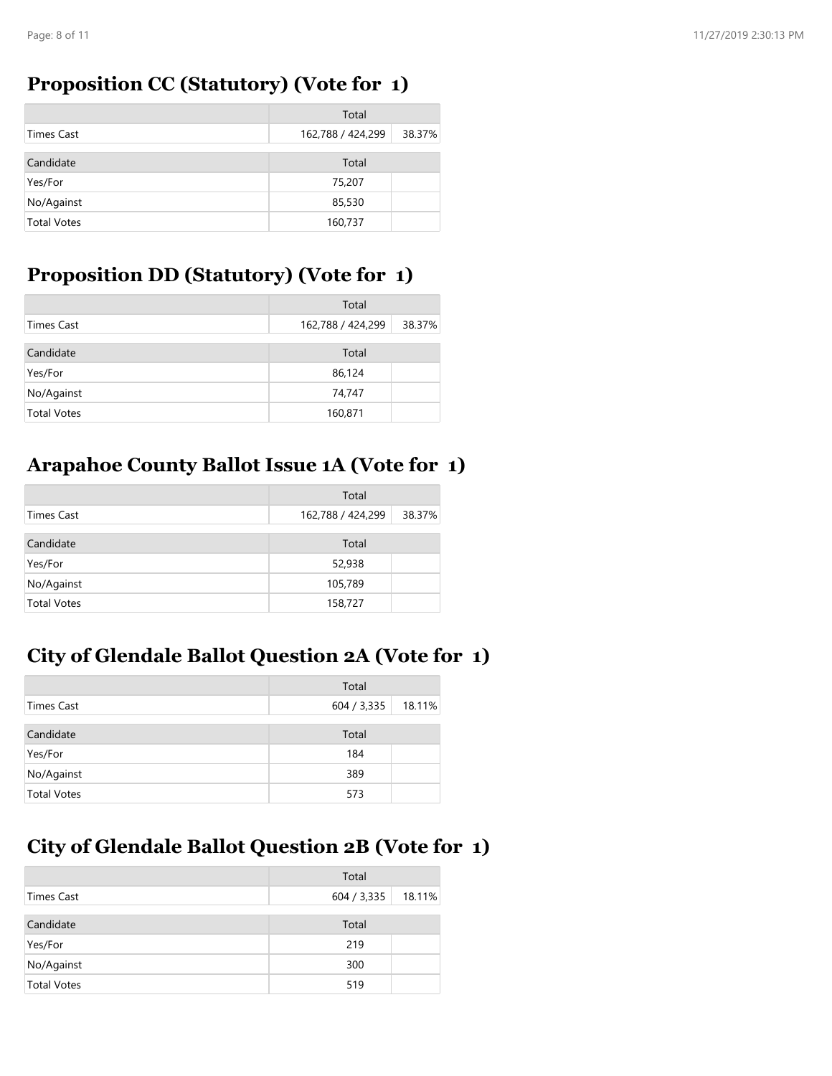### **Proposition CC (Statutory) (Vote for 1)**

|                    | Total             |        |
|--------------------|-------------------|--------|
| Times Cast         | 162,788 / 424,299 | 38.37% |
| Candidate          | Total             |        |
| Yes/For            | 75,207            |        |
| No/Against         | 85,530            |        |
| <b>Total Votes</b> | 160,737           |        |

### **Proposition DD (Statutory) (Vote for 1)**

|                    | Total             |        |
|--------------------|-------------------|--------|
| Times Cast         | 162,788 / 424,299 | 38.37% |
| Candidate          | Total             |        |
| Yes/For            | 86,124            |        |
| No/Against         | 74,747            |        |
| <b>Total Votes</b> | 160,871           |        |

# **Arapahoe County Ballot Issue 1A (Vote for 1)**

|                    | Total             |        |
|--------------------|-------------------|--------|
| Times Cast         | 162,788 / 424,299 | 38.37% |
| Candidate          | Total             |        |
| Yes/For            | 52,938            |        |
| No/Against         | 105,789           |        |
| <b>Total Votes</b> | 158,727           |        |

# **City of Glendale Ballot Question 2A (Vote for 1)**

|                    | Total       |        |
|--------------------|-------------|--------|
| Times Cast         | 604 / 3,335 | 18.11% |
| Candidate          | Total       |        |
| Yes/For            | 184         |        |
| No/Against         | 389         |        |
| <b>Total Votes</b> | 573         |        |

# **City of Glendale Ballot Question 2B (Vote for 1)**

|                    | Total       |        |
|--------------------|-------------|--------|
| Times Cast         | 604 / 3,335 | 18.11% |
| Candidate          | Total       |        |
| Yes/For            | 219         |        |
| No/Against         | 300         |        |
| <b>Total Votes</b> | 519         |        |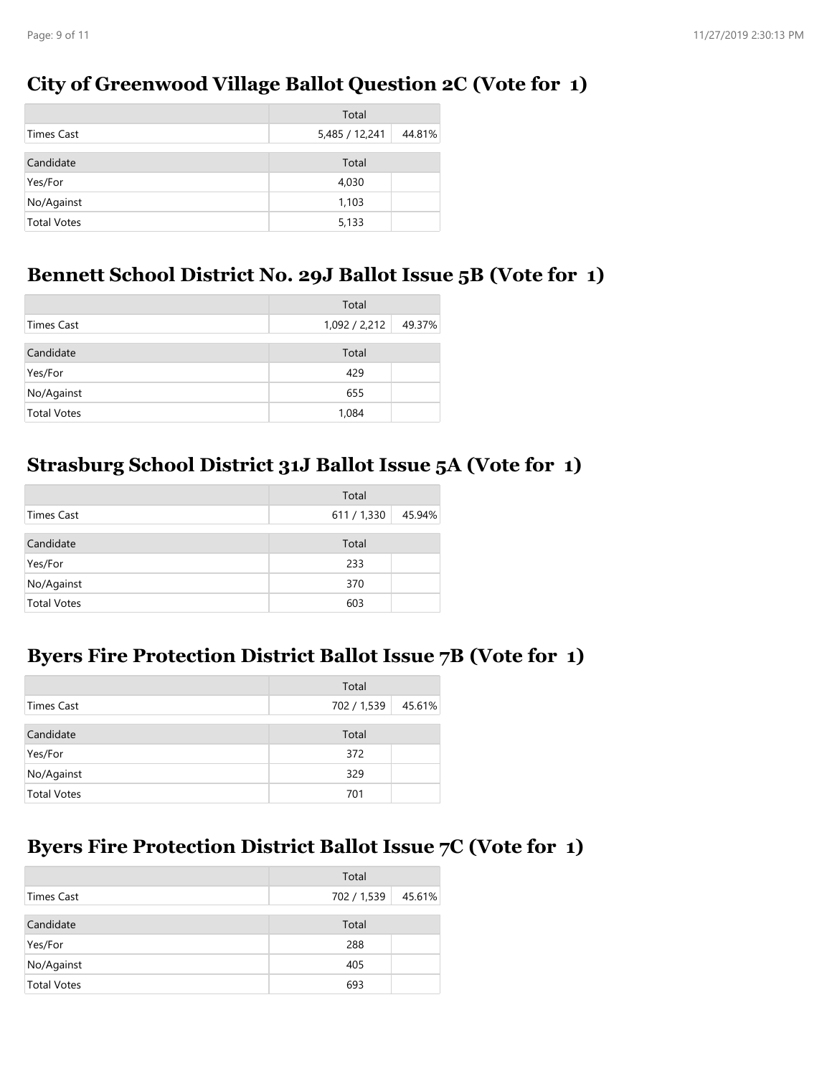### **City of Greenwood Village Ballot Question 2C (Vote for 1)**

|                    | Total          |        |
|--------------------|----------------|--------|
| Times Cast         | 5,485 / 12,241 | 44.81% |
|                    |                |        |
| Candidate          | Total          |        |
| Yes/For            | 4,030          |        |
| No/Against         | 1,103          |        |
| <b>Total Votes</b> | 5,133          |        |

#### **Bennett School District No. 29J Ballot Issue 5B (Vote for 1)**

|                    | Total         |        |
|--------------------|---------------|--------|
| Times Cast         | 1,092 / 2,212 | 49.37% |
|                    |               |        |
| Candidate          | Total         |        |
| Yes/For            | 429           |        |
| No/Against         | 655           |        |
| <b>Total Votes</b> | 1,084         |        |

### **Strasburg School District 31J Ballot Issue 5A (Vote for 1)**

|                    | Total     |        |
|--------------------|-----------|--------|
| Times Cast         | 611/1,330 | 45.94% |
| Candidate          | Total     |        |
| Yes/For            | 233       |        |
| No/Against         | 370       |        |
| <b>Total Votes</b> | 603       |        |

### **Byers Fire Protection District Ballot Issue 7B (Vote for 1)**

|                    | Total       |        |
|--------------------|-------------|--------|
| Times Cast         | 702 / 1,539 | 45.61% |
| Candidate          | Total       |        |
| Yes/For            | 372         |        |
| No/Against         | 329         |        |
| <b>Total Votes</b> | 701         |        |

### **Byers Fire Protection District Ballot Issue 7C (Vote for 1)**

|                    | Total       |        |
|--------------------|-------------|--------|
| Times Cast         | 702 / 1,539 | 45.61% |
| Candidate          | Total       |        |
| Yes/For            | 288         |        |
| No/Against         | 405         |        |
| <b>Total Votes</b> | 693         |        |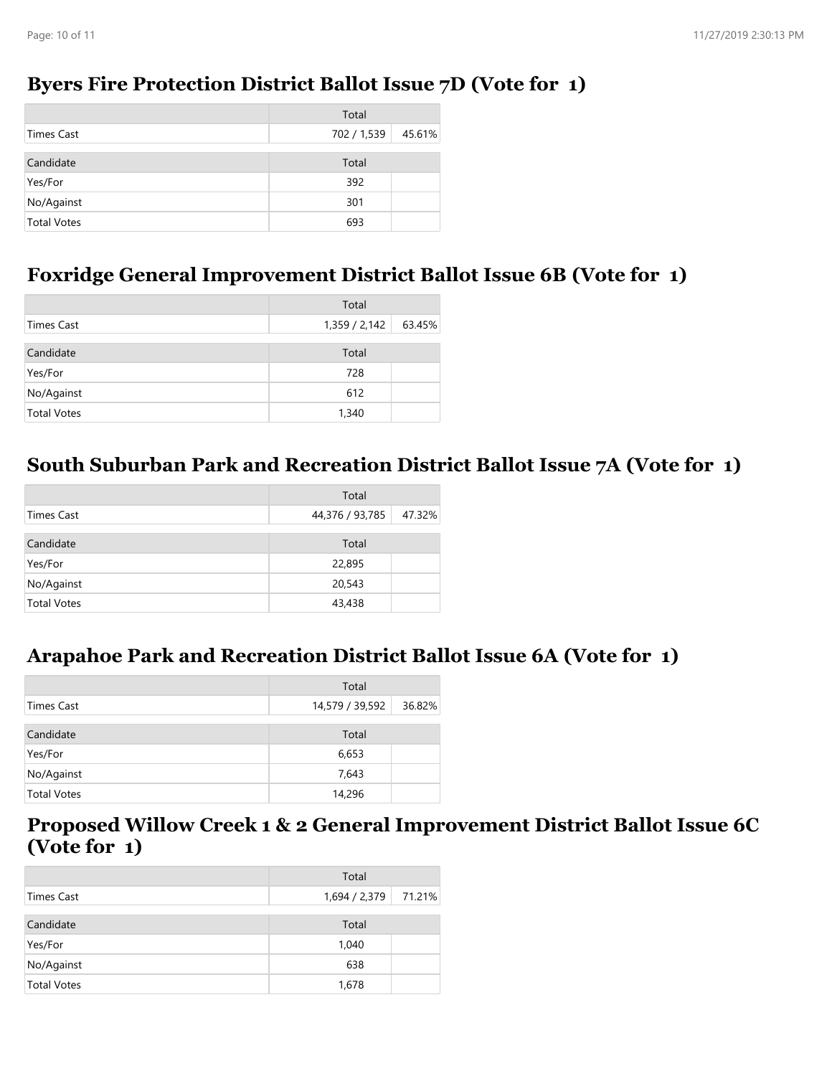### **Byers Fire Protection District Ballot Issue 7D (Vote for 1)**

|                    | Total       |        |
|--------------------|-------------|--------|
| Times Cast         | 702 / 1,539 | 45.61% |
|                    |             |        |
| Candidate          | Total       |        |
| Yes/For            | 392         |        |
| No/Against         | 301         |        |
| <b>Total Votes</b> | 693         |        |

### **Foxridge General Improvement District Ballot Issue 6B (Vote for 1)**

|                    | Total         |        |
|--------------------|---------------|--------|
| Times Cast         | 1,359 / 2,142 | 63.45% |
|                    |               |        |
| Candidate          | Total         |        |
| Yes/For            | 728           |        |
| No/Against         | 612           |        |
| <b>Total Votes</b> | 1,340         |        |

### **South Suburban Park and Recreation District Ballot Issue 7A (Vote for 1)**

|                    | Total           |        |
|--------------------|-----------------|--------|
| Times Cast         | 44,376 / 93,785 | 47.32% |
| Candidate          | Total           |        |
| Yes/For            | 22,895          |        |
| No/Against         | 20,543          |        |
| <b>Total Votes</b> | 43,438          |        |

### **Arapahoe Park and Recreation District Ballot Issue 6A (Vote for 1)**

|                    | Total                     |
|--------------------|---------------------------|
| Times Cast         | 14,579 / 39,592<br>36.82% |
| Candidate          | Total                     |
| Yes/For            | 6,653                     |
| No/Against         | 7,643                     |
| <b>Total Votes</b> | 14,296                    |

### **Proposed Willow Creek 1 & 2 General Improvement District Ballot Issue 6C (Vote for 1)**

|                    | Total         |        |
|--------------------|---------------|--------|
| Times Cast         | 1,694 / 2,379 | 71.21% |
| Candidate          | Total         |        |
| Yes/For            | 1,040         |        |
| No/Against         | 638           |        |
| <b>Total Votes</b> | 1,678         |        |